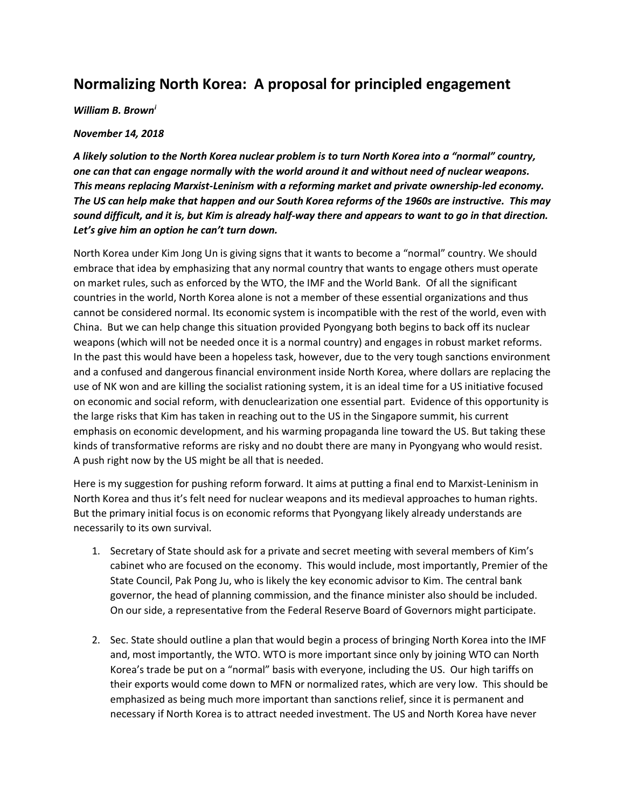## **Normalizing North Korea: A proposal for principled engagement**

## *William B. Brown<sup>i</sup>*

## *November 14, 2018*

*A likely solution to the North Korea nuclear problem is to turn North Korea into a "normal" country, one can that can engage normally with the world around it and without need of nuclear weapons. This means replacing Marxist-Leninism with a reforming market and private ownership-led economy. The US can help make that happen and our South Korea reforms of the 1960s are instructive. This may sound difficult, and it is, but Kim is already half-way there and appears to want to go in that direction. Let's give him an option he can't turn down.* 

North Korea under Kim Jong Un is giving signs that it wants to become a "normal" country. We should embrace that idea by emphasizing that any normal country that wants to engage others must operate on market rules, such as enforced by the WTO, the IMF and the World Bank. Of all the significant countries in the world, North Korea alone is not a member of these essential organizations and thus cannot be considered normal. Its economic system is incompatible with the rest of the world, even with China. But we can help change this situation provided Pyongyang both begins to back off its nuclear weapons (which will not be needed once it is a normal country) and engages in robust market reforms. In the past this would have been a hopeless task, however, due to the very tough sanctions environment and a confused and dangerous financial environment inside North Korea, where dollars are replacing the use of NK won and are killing the socialist rationing system, it is an ideal time for a US initiative focused on economic and social reform, with denuclearization one essential part. Evidence of this opportunity is the large risks that Kim has taken in reaching out to the US in the Singapore summit, his current emphasis on economic development, and his warming propaganda line toward the US. But taking these kinds of transformative reforms are risky and no doubt there are many in Pyongyang who would resist. A push right now by the US might be all that is needed.

Here is my suggestion for pushing reform forward. It aims at putting a final end to Marxist-Leninism in North Korea and thus it's felt need for nuclear weapons and its medieval approaches to human rights. But the primary initial focus is on economic reforms that Pyongyang likely already understands are necessarily to its own survival.

- 1. Secretary of State should ask for a private and secret meeting with several members of Kim's cabinet who are focused on the economy. This would include, most importantly, Premier of the State Council, Pak Pong Ju, who is likely the key economic advisor to Kim. The central bank governor, the head of planning commission, and the finance minister also should be included. On our side, a representative from the Federal Reserve Board of Governors might participate.
- 2. Sec. State should outline a plan that would begin a process of bringing North Korea into the IMF and, most importantly, the WTO. WTO is more important since only by joining WTO can North Korea's trade be put on a "normal" basis with everyone, including the US. Our high tariffs on their exports would come down to MFN or normalized rates, which are very low. This should be emphasized as being much more important than sanctions relief, since it is permanent and necessary if North Korea is to attract needed investment. The US and North Korea have never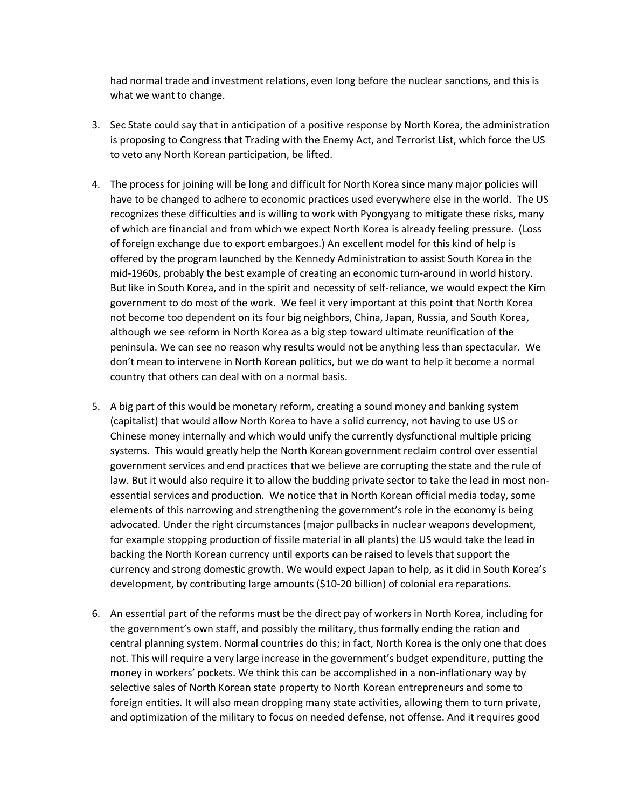had normal trade and investment relations, even long before the nuclear sanctions, and this is what we want to change.

- 3. Sec State could say that in anticipation of a positive response by North Korea, the administration is proposing to Congress that Trading with the Enemy Act, and Terrorist List, which force the US to veto any North Korean participation, be lifted.
- 4. The process for joining will be long and difficult for North Korea since many major policies will have to be changed to adhere to economic practices used everywhere else in the world. The US recognizes these difficulties and is willing to work with Pyongyang to mitigate these risks, many of which are financial and from which we expect North Korea is already feeling pressure. (Loss of foreign exchange due to export embargoes.) An excellent model for this kind of help is offered by the program launched by the Kennedy Administration to assist South Korea in the mid-1960s, probably the best example of creating an economic turn-around in world history. But like in South Korea, and in the spirit and necessity of self-reliance, we would expect the Kim government to do most of the work. We feel it very important at this point that North Korea not become too dependent on its four big neighbors, China, Japan, Russia, and South Korea, although we see reform in North Korea as a big step toward ultimate reunification of the peninsula. We can see no reason why results would not be anything less than spectacular. We don't mean to intervene in North Korean politics, but we do want to help it become a normal country that others can deal with on a normal basis.
- 5. A big part of this would be monetary reform, creating a sound money and banking system (capitalist) that would allow North Korea to have a solid currency, not having to use US or Chinese money internally and which would unify the currently dysfunctional multiple pricing systems. This would greatly help the North Korean government reclaim control over essential government services and end practices that we believe are corrupting the state and the rule of law. But it would also require it to allow the budding private sector to take the lead in most nonessential services and production. We notice that in North Korean official media today, some elements of this narrowing and strengthening the government's role in the economy is being advocated. Under the right circumstances (major pullbacks in nuclear weapons development, for example stopping production of fissile material in all plants) the US would take the lead in backing the North Korean currency until exports can be raised to levels that support the currency and strong domestic growth. We would expect Japan to help, as it did in South Korea's development, by contributing large amounts (\$10-20 billion) of colonial era reparations.
- 6. An essential part of the reforms must be the direct pay of workers in North Korea, including for the government's own staff, and possibly the military, thus formally ending the ration and central planning system. Normal countries do this; in fact, North Korea is the only one that does not. This will require a very large increase in the government's budget expenditure, putting the money in workers' pockets. We think this can be accomplished in a non-inflationary way by selective sales of North Korean state property to North Korean entrepreneurs and some to foreign entities. It will also mean dropping many state activities, allowing them to turn private, and optimization of the military to focus on needed defense, not offense. And it requires good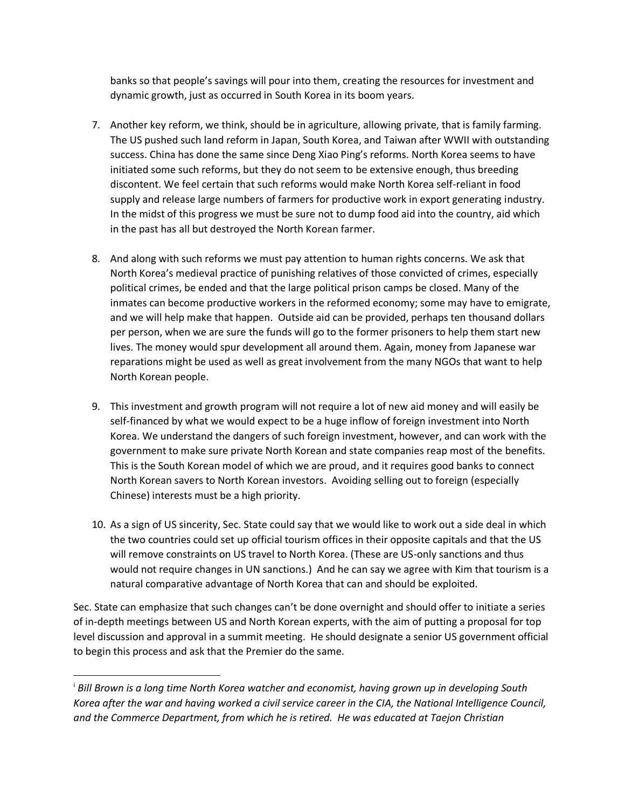banks so that people's savings will pour into them, creating the resources for investment and dynamic growth, just as occurred in South Korea in its boom years.

- 7. Another key reform, we think, should be in agriculture, allowing private, that is family farming. The US pushed such land reform in Japan, South Korea, and Taiwan after WWII with outstanding success. China has done the same since Deng Xiao Ping's reforms. North Korea seems to have initiated some such reforms, but they do not seem to be extensive enough, thus breeding discontent. We feel certain that such reforms would make North Korea self-reliant in food supply and release large numbers of farmers for productive work in export generating industry. In the midst of this progress we must be sure not to dump food aid into the country, aid which in the past has all but destroyed the North Korean farmer.
- 8. And along with such reforms we must pay attention to human rights concerns. We ask that North Korea's medieval practice of punishing relatives of those convicted of crimes, especially political crimes, be ended and that the large political prison camps be closed. Many of the inmates can become productive workers in the reformed economy; some may have to emigrate, and we will help make that happen. Outside aid can be provided, perhaps ten thousand dollars per person, when we are sure the funds will go to the former prisoners to help them start new lives. The money would spur development all around them. Again, money from Japanese war reparations might be used as well as great involvement from the many NGOs that want to help North Korean people.
- 9. This investment and growth program will not require a lot of new aid money and will easily be self-financed by what we would expect to be a huge inflow of foreign investment into North Korea. We understand the dangers of such foreign investment, however, and can work with the government to make sure private North Korean and state companies reap most of the benefits. This is the South Korean model of which we are proud, and it requires good banks to connect North Korean savers to North Korean investors. Avoiding selling out to foreign (especially Chinese) interests must be a high priority.
- 10. As a sign of US sincerity, Sec. State could say that we would like to work out a side deal in which the two countries could set up official tourism offices in their opposite capitals and that the US will remove constraints on US travel to North Korea. (These are US-only sanctions and thus would not require changes in UN sanctions.) And he can say we agree with Kim that tourism is a natural comparative advantage of North Korea that can and should be exploited.

Sec. State can emphasize that such changes can't be done overnight and should offer to initiate a series of in-depth meetings between US and North Korean experts, with the aim of putting a proposal for top level discussion and approval in a summit meeting. He should designate a senior US government official to begin this process and ask that the Premier do the same.

 $\overline{a}$ 

<sup>i</sup> *Bill Brown is a long time North Korea watcher and economist, having grown up in developing South Korea after the war and having worked a civil service career in the CIA, the National Intelligence Council, and the Commerce Department, from which he is retired. He was educated at Taejon Christian*